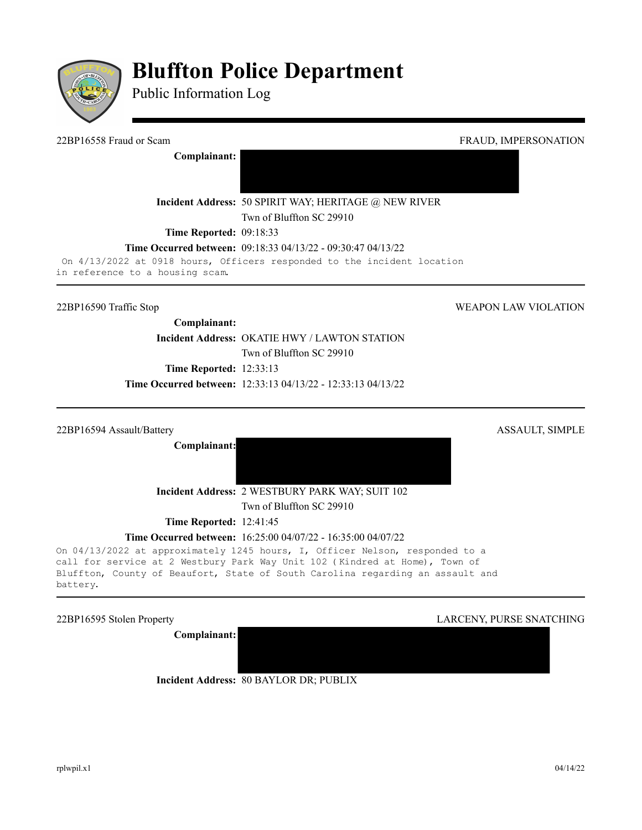

# **Bluffton Police Department**

Public Information Log

**Complainant:** 

22BP16558 Fraud or Scam FRAUD, IMPERSONATION

**Incident Address:** 50 SPIRIT WAY; HERITAGE @ NEW RIVER

Twn of Bluffton SC 29910

**Time Reported: 09:18:33** 

**Time Occurred between:** 09:18:33 04/13/22 - 09:30:47 04/13/22

On 4/13/2022 at 0918 hours, Officers responded to the incident location in reference to a housing scam.

22BP16590 Traffic Stop WEAPON LAW VIOLATION

**Complainant: Incident Address: OKATIE HWY / LAWTON STATION** Twn of Bluffton SC 29910 **Time Reported:** 12:33:13

**Time Occurred between:** 12:33:13 04/13/22 - 12:33:13 04/13/22

22BP16594 Assault/Battery ASSAULT, SIMPLE

**Complainant:**

**Incident Address:** 2 WESTBURY PARK WAY; SUIT 102

Twn of Bluffton SC 29910

**Time Reported: 12:41:45** 

**Time Occurred between:** 16:25:00 04/07/22 - 16:35:00 04/07/22

On 04/13/2022 at approximately 1245 hours, I, Officer Nelson, responded to a call for service at 2 Westbury Park Way Unit 102 (Kindred at Home), Town of Bluffton, County of Beaufort, State of South Carolina regarding an assault and battery.

**Complainant:**

22BP16595 Stolen Property LARCENY, PURSE SNATCHING

**Incident Address:** 80 BAYLOR DR; PUBLIX